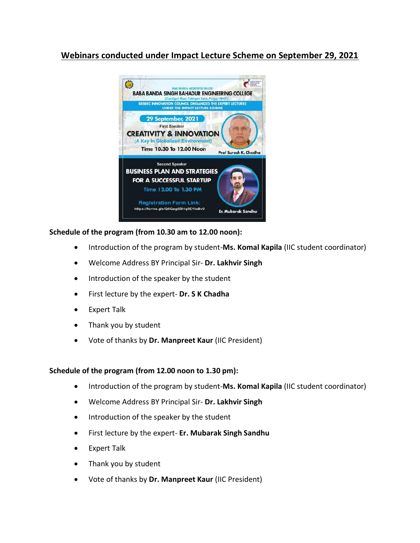## **Webinars conducted under Impact Lecture Scheme on September 29, 2021**



## **Schedule of the program (from 10.30 am to 12.00 noon):**

- Introduction of the program by student-**Ms. Komal Kapila** (IIC student coordinator)
- Welcome Address BY Principal Sir- **Dr. Lakhvir Singh**
- Introduction of the speaker by the student
- First lecture by the expert- **Dr. S K Chadha**
- Expert Talk
- Thank you by student
- Vote of thanks by **Dr. Manpreet Kaur** (IIC President)

## **Schedule of the program (from 12.00 noon to 1.30 pm):**

- Introduction of the program by student-**Ms. Komal Kapila** (IIC student coordinator)
- Welcome Address BY Principal Sir- **Dr. Lakhvir Singh**
- Introduction of the speaker by the student
- First lecture by the expert- **Er. Mubarak Singh Sandhu**
- Expert Talk
- Thank you by student
- Vote of thanks by **Dr. Manpreet Kaur** (IIC President)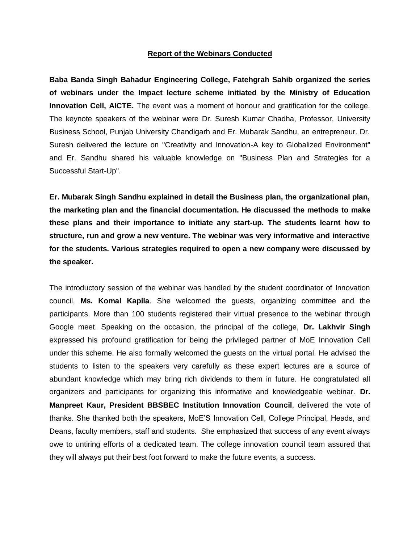## **Report of the Webinars Conducted**

**Baba Banda Singh Bahadur Engineering College, Fatehgrah Sahib organized the series of webinars under the Impact lecture scheme initiated by the Ministry of Education Innovation Cell, AICTE.** The event was a moment of honour and gratification for the college. The keynote speakers of the webinar were Dr. Suresh Kumar Chadha, Professor, University Business School, Punjab University Chandigarh and Er. Mubarak Sandhu, an entrepreneur. Dr. Suresh delivered the lecture on "Creativity and Innovation-A key to Globalized Environment" and Er. Sandhu shared his valuable knowledge on "Business Plan and Strategies for a Successful Start-Up".

**Er. Mubarak Singh Sandhu explained in detail the Business plan, the organizational plan, the marketing plan and the financial documentation. He discussed the methods to make these plans and their importance to initiate any start-up. The students learnt how to structure, run and grow a new venture. The webinar was very informative and interactive for the students. Various strategies required to open a new company were discussed by the speaker.**

The introductory session of the webinar was handled by the student coordinator of Innovation council, **Ms. Komal Kapila**. She welcomed the guests, organizing committee and the participants. More than 100 students registered their virtual presence to the webinar through Google meet. Speaking on the occasion, the principal of the college, **Dr. Lakhvir Singh** expressed his profound gratification for being the privileged partner of MoE Innovation Cell under this scheme. He also formally welcomed the guests on the virtual portal. He advised the students to listen to the speakers very carefully as these expert lectures are a source of abundant knowledge which may bring rich dividends to them in future. He congratulated all organizers and participants for organizing this informative and knowledgeable webinar. **Dr. Manpreet Kaur, President BBSBEC Institution Innovation Council**, delivered the vote of thanks. She thanked both the speakers, MoE'S Innovation Cell, College Principal, Heads, and Deans, faculty members, staff and students. She emphasized that success of any event always owe to untiring efforts of a dedicated team. The college innovation council team assured that they will always put their best foot forward to make the future events, a success.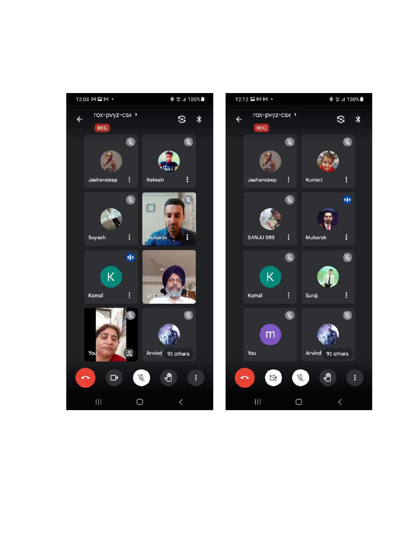

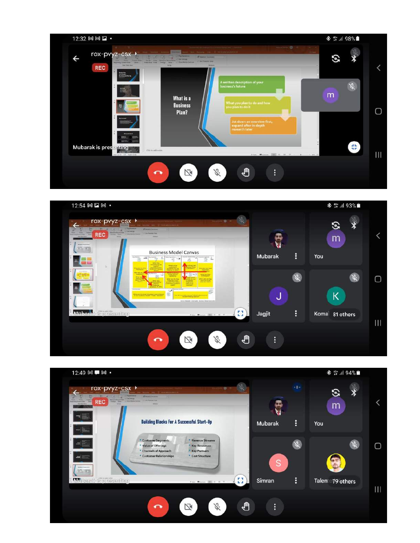



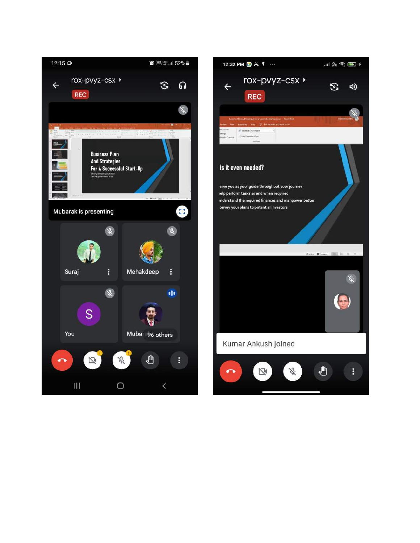